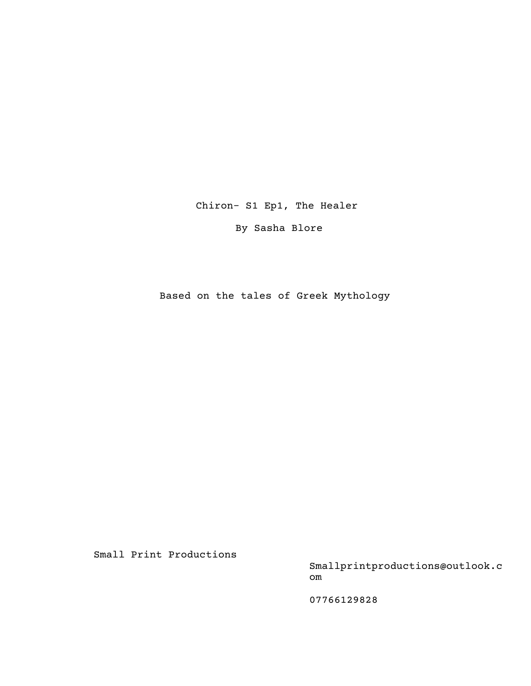Chiron- S1 Ep1, The Healer

By Sasha Blore

Based on the tales of Greek Mythology

Small Print Productions

Smallprintproductions@outlook.c om

07766129828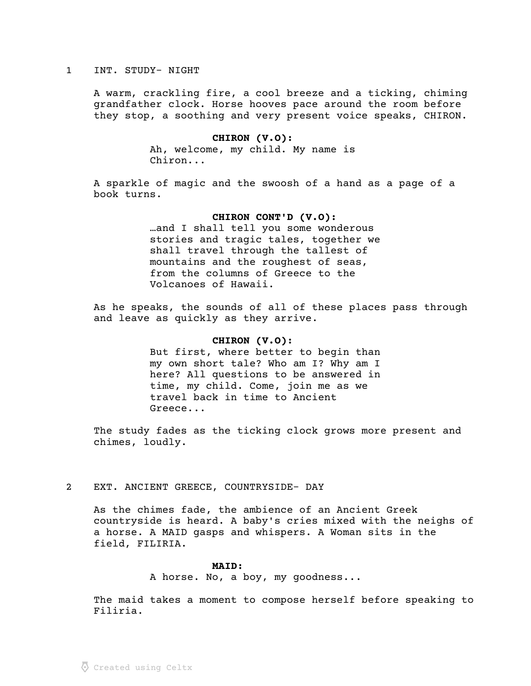### 1 INT. STUDY- NIGHT

A warm, crackling fire, a cool breeze and a ticking, chiming grandfather clock. Horse hooves pace around the room before they stop, a soothing and very present voice speaks, CHIRON.

# CHIRON (V.O):

Ah, welcome, my child. My name is Chiron...

A sparkle of magic and the swoosh of a hand as a page of a book turns.

## CHIRON CONT'D (V.O):

…and I shall tell you some wonderous stories and tragic tales, together we shall travel through the tallest of mountains and the roughest of seas, from the columns of Greece to the Volcanoes of Hawaii.

As he speaks, the sounds of all of these places pass through and leave as quickly as they arrive.

## CHIRON (V.O):

But first, where better to begin than my own short tale? Who am I? Why am I here? All questions to be answered in time, my child. Come, join me as we travel back in time to Ancient Greece...

The study fades as the ticking clock grows more present and chimes, loudly.

## 2 EXT. ANCIENT GREECE, COUNTRYSIDE- DAY

As the chimes fade, the ambience of an Ancient Greek countryside is heard. A baby's cries mixed with the neighs of a horse. A MAID gasps and whispers. A Woman sits in the field, FILIRIA.

## MAID:

A horse. No, a boy, my goodness...

The maid takes a moment to compose herself before speaking to Filiria.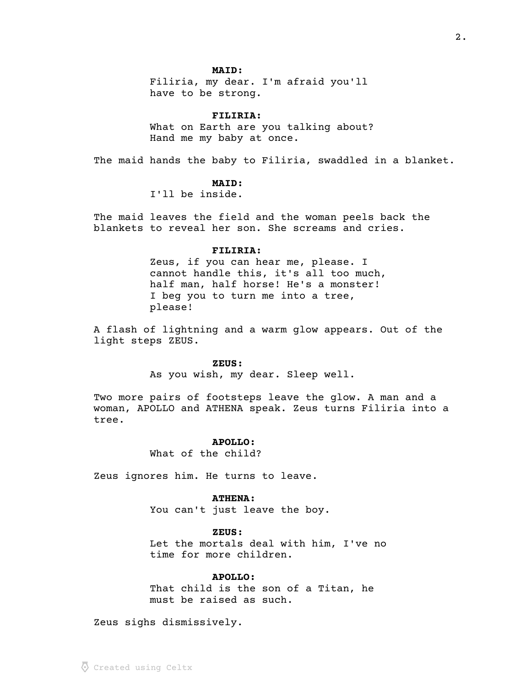## MAID:

Filiria, my dear. I'm afraid you'll have to be strong.

 FILIRIA: What on Earth are you talking about? Hand me my baby at once.

The maid hands the baby to Filiria, swaddled in a blanket.

## MAID:

I'll be inside.

The maid leaves the field and the woman peels back the blankets to reveal her son. She screams and cries.

### FILIRIA:

Zeus, if you can hear me, please. I cannot handle this, it's all too much, half man, half horse! He's a monster! I beg you to turn me into a tree, please!

A flash of lightning and a warm glow appears. Out of the light steps ZEUS.

#### ZEUS:

As you wish, my dear. Sleep well.

Two more pairs of footsteps leave the glow. A man and a woman, APOLLO and ATHENA speak. Zeus turns Filiria into a tree.

### APOLLO:

What of the child?

Zeus ignores him. He turns to leave.

#### ATHENA:

You can't just leave the boy.

 ZEUS: Let the mortals deal with him, I've no time for more children.

## APOLLO:

That child is the son of a Titan, he must be raised as such.

Zeus sighs dismissively.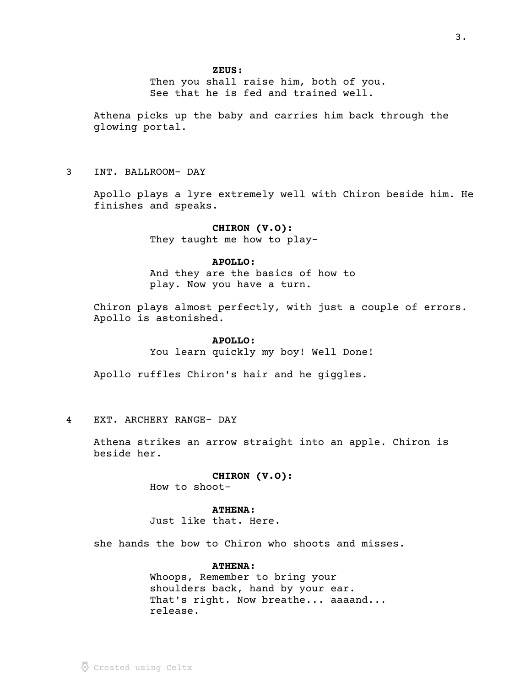Then you shall raise him, both of you. See that he is fed and trained well.

Athena picks up the baby and carries him back through the glowing portal.

3 INT. BALLROOM- DAY

Apollo plays a lyre extremely well with Chiron beside him. He finishes and speaks.

## CHIRON (V.O):

They taught me how to play-

## APOLLO:

And they are the basics of how to play. Now you have a turn.

Chiron plays almost perfectly, with just a couple of errors. Apollo is astonished.

## APOLLO:

You learn quickly my boy! Well Done!

Apollo ruffles Chiron's hair and he giggles.

4 EXT. ARCHERY RANGE- DAY

Athena strikes an arrow straight into an apple. Chiron is beside her.

## CHIRON (V.O):

How to shoot-

## ATHENA:

Just like that. Here.

she hands the bow to Chiron who shoots and misses.

## ATHENA:

Whoops, Remember to bring your shoulders back, hand by your ear. That's right. Now breathe... aaaand... release.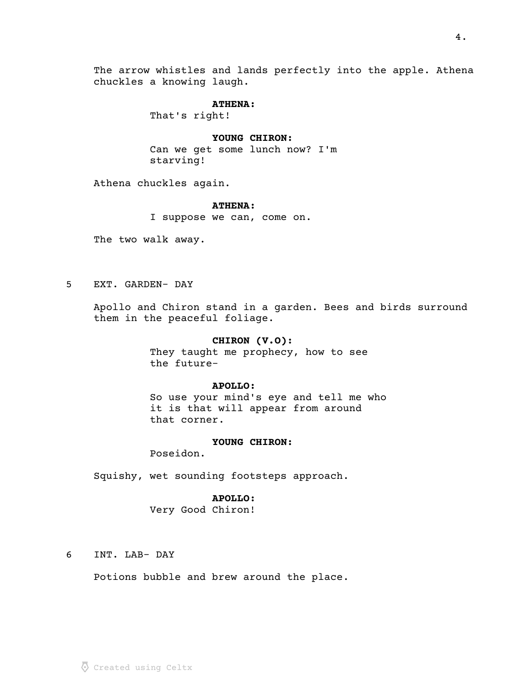The arrow whistles and lands perfectly into the apple. Athena chuckles a knowing laugh.

## ATHENA:

That's right!

## YOUNG CHIRON:

Can we get some lunch now? I'm starving!

Athena chuckles again.

## ATHENA:

I suppose we can, come on.

The two walk away.

5 EXT. GARDEN- DAY

Apollo and Chiron stand in a garden. Bees and birds surround them in the peaceful foliage.

## CHIRON (V.O):

They taught me prophecy, how to see the future-

## APOLLO:

So use your mind's eye and tell me who it is that will appear from around that corner.

### YOUNG CHIRON:

Poseidon.

Squishy, wet sounding footsteps approach.

#### APOLLO:

Very Good Chiron!

6 INT. LAB- DAY

Potions bubble and brew around the place.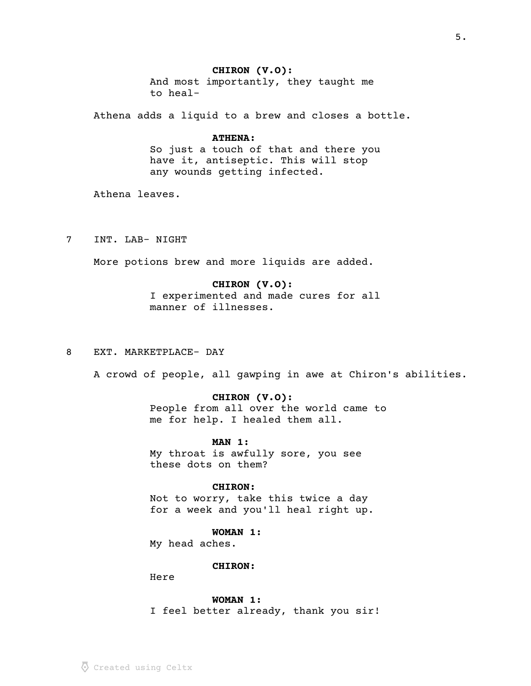## CHIRON (V.O):

And most importantly, they taught me to heal-

Athena adds a liquid to a brew and closes a bottle.

## ATHENA:

So just a touch of that and there you have it, antiseptic. This will stop any wounds getting infected.

Athena leaves.

7 INT. LAB- NIGHT

More potions brew and more liquids are added.

## CHIRON (V.O):

I experimented and made cures for all manner of illnesses.

8 EXT. MARKETPLACE- DAY

A crowd of people, all gawping in awe at Chiron's abilities.

### CHIRON (V.O):

People from all over the world came to me for help. I healed them all.

## MAN 1:

My throat is awfully sore, you see these dots on them?

#### CHIRON:

Not to worry, take this twice a day for a week and you'll heal right up.

## WOMAN 1:

My head aches.

### CHIRON:

Here

 WOMAN 1: I feel better already, thank you sir!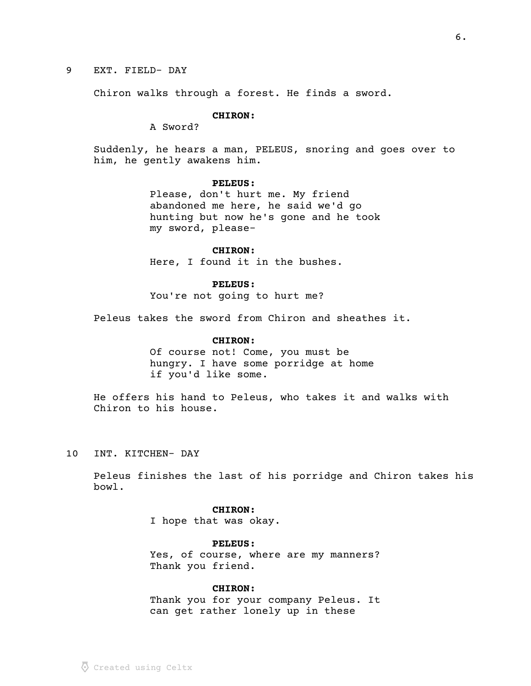## 9 EXT. FIELD- DAY

Chiron walks through a forest. He finds a sword.

## CHIRON:

A Sword?

Suddenly, he hears a man, PELEUS, snoring and goes over to him, he gently awakens him.

## PELEUS:

Please, don't hurt me. My friend abandoned me here, he said we'd go hunting but now he's gone and he took my sword, please-

#### CHIRON:

Here, I found it in the bushes.

#### PELEUS:

You're not going to hurt me?

Peleus takes the sword from Chiron and sheathes it.

## CHIRON:

Of course not! Come, you must be hungry. I have some porridge at home if you'd like some.

He offers his hand to Peleus, who takes it and walks with Chiron to his house.

10 INT. KITCHEN- DAY

Peleus finishes the last of his porridge and Chiron takes his bowl.

#### CHIRON:

I hope that was okay.

## PELEUS:

Yes, of course, where are my manners? Thank you friend.

## CHIRON:

Thank you for your company Peleus. It can get rather lonely up in these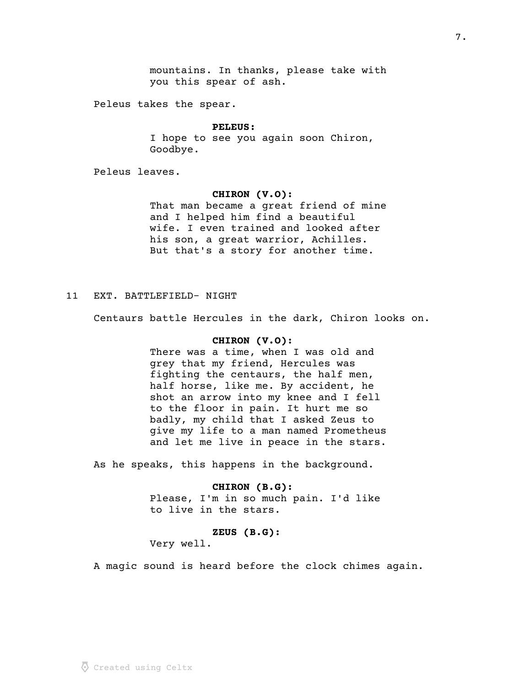mountains. In thanks, please take with you this spear of ash.

Peleus takes the spear.

#### PELEUS:

I hope to see you again soon Chiron, Goodbye.

Peleus leaves.

## CHIRON (V.O):

That man became a great friend of mine and I helped him find a beautiful wife. I even trained and looked after his son, a great warrior, Achilles. But that's a story for another time.

# 11 EXT. BATTLEFIELD- NIGHT

Centaurs battle Hercules in the dark, Chiron looks on.

### CHIRON (V.O):

There was a time, when I was old and grey that my friend, Hercules was fighting the centaurs, the half men, half horse, like me. By accident, he shot an arrow into my knee and I fell to the floor in pain. It hurt me so badly, my child that I asked Zeus to give my life to a man named Prometheus and let me live in peace in the stars.

As he speaks, this happens in the background.

 CHIRON (B.G): Please, I'm in so much pain. I'd like to live in the stars.

#### ZEUS (B.G):

Very well.

A magic sound is heard before the clock chimes again.